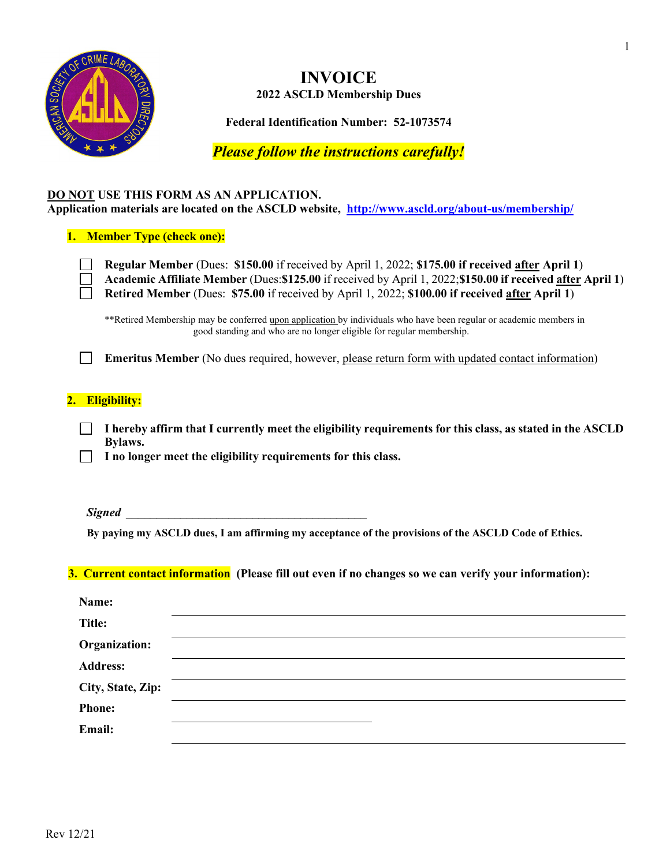

# **INVOICE 2022 ASCLD Membership Dues**

**Federal Identification Number: 52-1073574**

*Please follow the instructions carefully!*

#### **DO NOT USE THIS FORM AS AN APPLICATION. Application materials are located on the ASCLD website, <http://www.ascld.org/about-us/membership/>**

#### **1. Member Type (check one):**

**Regular Member** (Dues: **\$150.00** if received by April 1, 2022; **\$175.00 if received after April 1**) **Academic Affiliate Member** (Dues:**\$125.00** if received by April 1, 2022;**\$150.00 if received after April 1**) **Retired Member** (Dues: **\$75.00** if received by April 1, 2022; **\$100.00 if received after April 1**)

\*\*Retired Membership may be conferred upon application by individuals who have been regular or academic members in good standing and who are no longer eligible for regular membership.

**Emeritus Member** (No dues required, however, please return form with updated contact information)

### **2. Eligibility:**

**I hereby affirm that I currently meet the eligibility requirements for this class, as stated in the ASCLD Bylaws.**

**I no longer meet the eligibility requirements for this class.**

*Signed* \_\_\_\_\_\_\_\_\_\_\_\_\_\_\_\_\_\_\_\_\_\_\_\_\_\_\_\_\_\_\_\_\_\_\_\_\_\_\_\_

**By paying my ASCLD dues, I am affirming my acceptance of the provisions of the ASCLD Code of Ethics.**

#### **3. Current contact information (Please fill out even if no changes so we can verify your information):**

| Name:             |  |
|-------------------|--|
| <b>Title:</b>     |  |
| Organization:     |  |
| <b>Address:</b>   |  |
| City, State, Zip: |  |
| <b>Phone:</b>     |  |
| Email:            |  |
|                   |  |